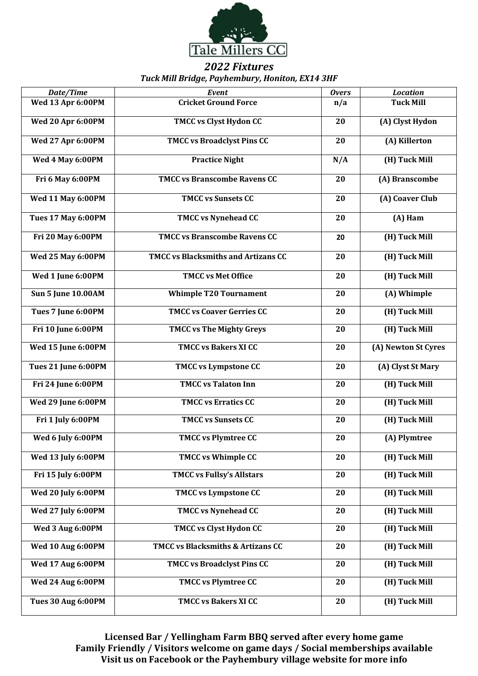

## *2022 Fixtures Tuck Mill Bridge, Payhembury, Honiton, EX14 3HF*

|                           |                                            | <b>Overs</b> |                     |
|---------------------------|--------------------------------------------|--------------|---------------------|
| Date/Time                 | Event                                      |              | <b>Location</b>     |
| Wed 13 Apr 6:00PM         | <b>Cricket Ground Force</b>                | n/a          | <b>Tuck Mill</b>    |
| <b>Wed 20 Apr 6:00PM</b>  | <b>TMCC vs Clyst Hydon CC</b>              | 20           | (A) Clyst Hydon     |
| <b>Wed 27 Apr 6:00PM</b>  | <b>TMCC vs Broadclyst Pins CC</b>          | 20           | (A) Killerton       |
| Wed 4 May 6:00PM          | <b>Practice Night</b>                      | N/A          | (H) Tuck Mill       |
| Fri 6 May 6:00PM          | <b>TMCC vs Branscombe Ravens CC</b>        | 20           | (A) Branscombe      |
| <b>Wed 11 May 6:00PM</b>  | <b>TMCC vs Sunsets CC</b>                  | 20           | (A) Coaver Club     |
| <b>Tues 17 May 6:00PM</b> | <b>TMCC vs Nynehead CC</b>                 | 20           | (A) Ham             |
| Fri 20 May 6:00PM         | <b>TMCC vs Branscombe Ravens CC</b>        | 20           | (H) Tuck Mill       |
| <b>Wed 25 May 6:00PM</b>  | <b>TMCC vs Blacksmiths and Artizans CC</b> | 20           | (H) Tuck Mill       |
| Wed 1 June 6:00PM         | <b>TMCC vs Met Office</b>                  | 20           | (H) Tuck Mill       |
| <b>Sun 5 June 10.00AM</b> | <b>Whimple T20 Tournament</b>              | 20           | (A) Whimple         |
| Tues 7 June 6:00PM        | <b>TMCC vs Coaver Gerries CC</b>           | 20           | (H) Tuck Mill       |
| Fri 10 June 6:00PM        | <b>TMCC vs The Mighty Greys</b>            | 20           | (H) Tuck Mill       |
| Wed 15 June 6:00PM        | <b>TMCC vs Bakers XI CC</b>                | 20           | (A) Newton St Cyres |
| Tues 21 June 6:00PM       | <b>TMCC vs Lympstone CC</b>                | 20           | (A) Clyst St Mary   |
| Fri 24 June 6:00PM        | <b>TMCC vs Talaton Inn</b>                 | 20           | (H) Tuck Mill       |
| Wed 29 June 6:00PM        | <b>TMCC vs Erratics CC</b>                 | 20           | (H) Tuck Mill       |
| Fri 1 July 6:00PM         | <b>TMCC vs Sunsets CC</b>                  | 20           | (H) Tuck Mill       |
| Wed 6 July 6:00PM         | <b>TMCC vs Plymtree CC</b>                 | 20           | (A) Plymtree        |
| Wed 13 July 6:00PM        | TMCC vs Whimple CC                         | 20           | (H) Tuck Mill       |
| Fri 15 July 6:00PM        | <b>TMCC vs Fullsy's Allstars</b>           | 20           | (H) Tuck Mill       |
| Wed 20 July 6:00PM        | <b>TMCC vs Lympstone CC</b>                | 20           | (H) Tuck Mill       |
| Wed 27 July 6:00PM        | <b>TMCC vs Nynehead CC</b>                 | 20           | (H) Tuck Mill       |
| Wed 3 Aug 6:00PM          | <b>TMCC vs Clyst Hydon CC</b>              | 20           | (H) Tuck Mill       |
| <b>Wed 10 Aug 6:00PM</b>  | TMCC vs Blacksmiths & Artizans CC          | 20           | (H) Tuck Mill       |
| <b>Wed 17 Aug 6:00PM</b>  | <b>TMCC vs Broadclyst Pins CC</b>          | 20           | (H) Tuck Mill       |
| <b>Wed 24 Aug 6:00PM</b>  | <b>TMCC vs Plymtree CC</b>                 | 20           | (H) Tuck Mill       |
| <b>Tues 30 Aug 6:00PM</b> | <b>TMCC vs Bakers XI CC</b>                | 20           | (H) Tuck Mill       |

**Licensed Bar / Yellingham Farm BBQ served after every home game Family Friendly / Visitors welcome on game days / Social memberships available Visit us on Facebook or the Payhembury village website for more info**